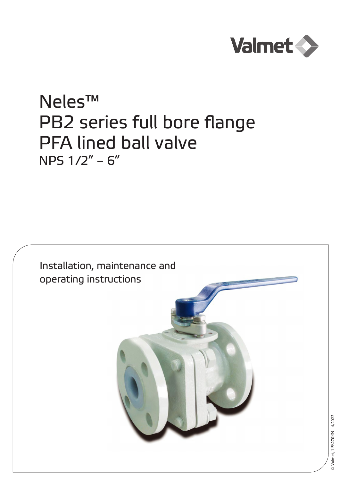

# Neles™ PB2 series full bore flange PFA lined ball valve NPS 1/2" – 6"

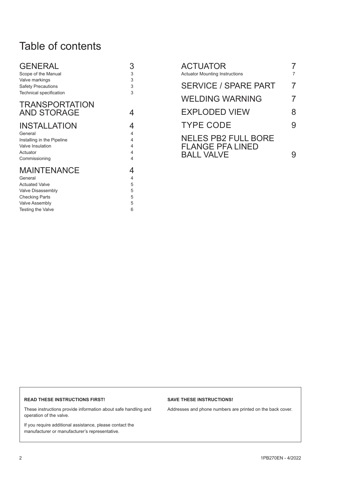# Table of contents

| GENERAL                    | 3 |
|----------------------------|---|
| Scope of the Manual        | 3 |
| Valve markings             | 3 |
| <b>Safety Precautions</b>  | 3 |
| Technical specification    | 3 |
| <b>TRANSPORTATION</b>      |   |
| <b>AND STORAGE</b>         | 4 |
| <b>INSTALLATION</b>        | 4 |
| General                    | 4 |
| Installing in the Pipeline | 4 |
| <b>Valve Insulation</b>    | 4 |
| Actuator                   | 4 |
| Commissioning              | 4 |
| <b>MAINTENANCE</b>         | 4 |
| General                    | 4 |
| <b>Actuated Valve</b>      | 5 |
| Valve Disassembly          | 5 |
| <b>Checking Parts</b>      | 5 |
| <b>Valve Assembly</b>      | 5 |

[Testing the Valve 6](#page-5-0)

| ACTUATOR<br><b>Actuator Mounting Instructions</b>     |   |
|-------------------------------------------------------|---|
| <b>SERVICE / SPARE PART</b>                           | 7 |
| <b>WELDING WARNING</b>                                | 7 |
| <b>EXPLODED VIEW</b>                                  | 8 |
| <b>TYPE CODE</b>                                      | 9 |
| <b>NELES PB2 FULL BORE</b><br><b>FLANGE PFA LINED</b> |   |
| <b>BALL VALVE</b>                                     |   |

#### **READ THESE INSTRUCTIONS FIRST!**

These instructions provide information about safe handling and operation of the valve.

If you require additional assistance, please contact the manufacturer or manufacturer's representative.

#### **SAVE THESE INSTRUCTIONS!**

Addresses and phone numbers are printed on the back cover.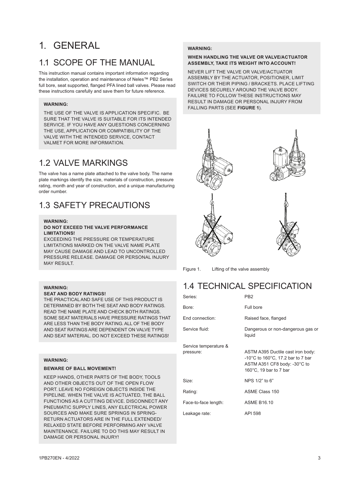# <span id="page-2-0"></span>1. GENERAL

### 1.1 SCOPE OF THE MANUAL

This instruction manual contains important information regarding the installation, operation and maintenance of Neles™ PB2 Series full bore, seat supported, flanged PFA lined ball valves. Please read these instructions carefully and save them for future reference.

#### **WARNING:**

THE USE OF THE VALVE IS APPLICATION SPECIFIC. BE SURE THAT THE VALVE IS SUITABLE FOR ITS INTENDED SERVICE. IF YOU HAVE ANY QUESTIONS CONCERNING THE USE, APPLICATION OR COMPATIBILITY OF THE VALVE WITH THE INTENDED SERVICE, CONTACT VALMET FOR MORE INFORMATION.

### 1.2 VALVE MARKINGS

The valve has a name plate attached to the valve body. The name plate markings identify the size, materials of construction, pressure rating, month and year of construction, and a unique manufacturing order number.

### 1.3 SAFETY PRECAUTIONS

### **WARNING:**

#### **DO NOT EXCEED THE VALVE PERFORMANCE LIMITATIONS!**

EXCEEDING THE PRESSURE OR TEMPERATURE LIMITATIONS MARKED ON THE VALVE NAME PLATE MAY CAUSE DAMAGE AND LEAD TO UNCONTROLLED PRESSURE RELEASE. DAMAGE OR PERSONAL INJURY MAY RESULT.

### **WARNING:**

#### **SEAT AND BODY RATINGS!**

THE PRACTICAL AND SAFE USE OF THIS PRODUCT IS DETERMINED BY BOTH THE SEAT AND BODY RATINGS. READ THE NAME PLATE AND CHECK BOTH RATINGS. SOME SEAT MATERIALS HAVE PRESSURE RATINGS THAT ARE LESS THAN THE BODY RATING. ALL OF THE BODY AND SEAT RATINGS ARE DEPENDENT ON VALVE TYPE AND SEAT MATERIAL. DO NOT EXCEED THESE RATINGS!

#### **WARNING:**

#### **BEWARE OF BALL MOVEMENT!**

KEEP HANDS, OTHER PARTS OF THE BODY, TOOLS AND OTHER OBJECTS OUT OF THE OPEN FLOW PORT. LEAVE NO FOREIGN OBJECTS INSIDE THE PIPELINE. WHEN THE VALVE IS ACTUATED, THE BALL FUNCTIONS AS A CUTTING DEVICE. DISCONNECT ANY PNEUMATIC SUPPLY LINES, ANY ELECTRICAL POWER SOURCES AND MAKE SURE SPRINGS IN SPRING-RETURN ACTUATORS ARE IN THE FULL EXTENDED/ RELAXED STATE BEFORE PERFORMING ANY VALVE MAINTENANCE. FAILURE TO DO THIS MAY RESULT IN DAMAGE OR PERSONAL INJURY!

### **WARNING:**

#### **WHEN HANDLING THE VALVE OR VALVE/ACTUATOR ASSEMBLY, TAKE ITS WEIGHT INTO ACCOUNT!**

NEVER LIFT THE VALVE OR VALVE/ACTUATOR ASSEMBLY BY THE ACTUATOR, POSITIONER, LIMIT SWITCH OR THEIR PIPING / BRACKETS. PLACE LIFTING DEVICES SECURELY AROUND THE VALVE BODY. FAILURE TO FOLLOW THESE INSTRUCTIONS MAY RESULT IN DAMAGE OR PERSONAL INJURY FROM FALLING PARTS (SEE **FIGURE 1**).



Figure 1. Lifting of the valve assembly

### 1.4 TECHNICAL SPECIFICATION

| Series:               | PB2                                                                                                                                        |
|-----------------------|--------------------------------------------------------------------------------------------------------------------------------------------|
| Bore:                 | Full bore                                                                                                                                  |
| End connection:       | Raised face, flanged                                                                                                                       |
| Service fluid:        | Dangerous or non-dangerous gas or<br>liquid                                                                                                |
| Service temperature & |                                                                                                                                            |
| pressure:             | ASTM A395 Ductile cast iron body:<br>-10°C to 160°C, 17.2 bar to 7 bar<br>ASTM A351 CF8 body: -30°C to<br>160 $\degree$ C, 19 bar to 7 bar |
| Size:                 | NPS 1/2" to 6"                                                                                                                             |
| Rating:               | <b>ASME Class 150</b>                                                                                                                      |
| Face-to-face length:  | <b>ASME B16.10</b>                                                                                                                         |
| Leakage rate:         | API 598                                                                                                                                    |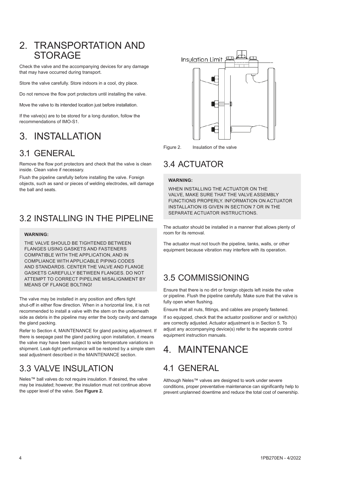### <span id="page-3-0"></span>2. TRANSPORTATION AND **STORAGE**

Check the valve and the accompanying devices for any damage that may have occurred during transport.

Store the valve carefully. Store indoors in a cool, dry place.

Do not remove the flow port protectors until installing the valve.

Move the valve to its intended location just before installation.

If the valve(s) are to be stored for a long duration, follow the recommendations of IMO-S1.

# 3. INSTALLATION

### 3.1 GENERAL

Remove the flow port protectors and check that the valve is clean inside. Clean valve if necessary.

Flush the pipeline carefully before installing the valve. Foreign objects, such as sand or pieces of welding electrodes, will damage the ball and seats.

### 3.2 INSTALLING IN THE PIPELINE

#### **WARNING:**

THE VALVE SHOULD BE TIGHTENED BETWEEN FLANGES USING GASKETS AND FASTENERS COMPATIBLE WITH THE APPLICATION, AND IN COMPLIANCE WITH APPLICABLE PIPING CODES AND STANDARDS. CENTER THE VALVE AND FLANGE GASKETS CAREFULLY BETWEEN FLANGES. DO NOT ATTEMPT TO CORRECT PIPELINE MISALIGNMENT BY MEANS OF FLANGE BOLTING!

The valve may be installed in any position and offers tight shut-off in either flow direction. When in a horizontal line, it is not recommended to install a valve with the stem on the underneath side as debris in the pipeline may enter the body cavity and damage the gland packing.

Refer to Section 4, MAINTENANCE for gland packing adjustment. If there is seepage past the gland packing upon installation, it means the valve may have been subject to wide temperature variations in shipment. Leak-tight performance will be restored by a simple stem seal adjustment described in the MAINTENANCE section.

### 3.3 VALVE INSULATION

Neles™ ball valves do not require insulation. If desired, the valve may be insulated; however, the insulation must not continue above the upper level of the valve. See **Figure 2.**



Figure 2. Insulation of the valve

### 3.4 ACTUATOR

### **WARNING:**

WHEN INSTALLING THE ACTUATOR ON THE VALVE, MAKE SURE THAT THE VALVE ASSEMBLY FUNCTIONS PROPERLY. INFORMATION ON ACTUATOR INSTALLATION IS GIVEN IN SECTION 7 OR IN THE SEPARATE ACTUATOR INSTRUCTIONS.

The actuator should be installed in a manner that allows plenty of room for its removal.

The actuator must not touch the pipeline, tanks, walls, or other equipment because vibration may interfere with its operation.

### 3.5 COMMISSIONING

Ensure that there is no dirt or foreign objects left inside the valve or pipeline. Flush the pipeline carefully. Make sure that the valve is fully open when flushing.

Ensure that all nuts, fittings, and cables are properly fastened.

If so equipped, check that the actuator positioner and/ or switch(s) are correctly adjusted. Actuator adjustment is in Section 5. To adjust any accompanying device(s) refer to the separate control equipment instruction manuals.

# 4. MAINTENANCE

### 4.1 GENERAL

Although Neles™ valves are designed to work under severe conditions, proper preventative maintenance can significantly help to prevent unplanned downtime and reduce the total cost of ownership.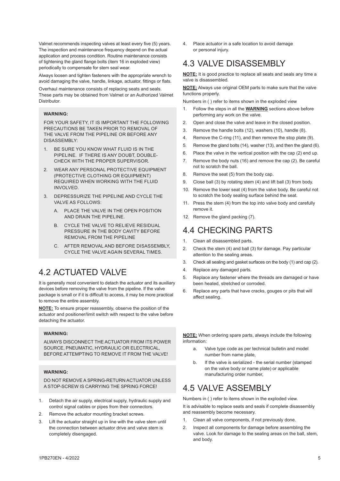<span id="page-4-0"></span>Valmet recommends inspecting valves at least every five (5) years. The inspection and maintenance frequency depend on the actual application and process condition. Routine maintenance consists of tightening the gland flange bolts (item 16 in exploded view) periodically to compensate for stem seal wear.

Always loosen and tighten fasteners with the appropriate wrench to avoid damaging the valve, handle, linkage, actuator, fittings or flats.

Overhaul maintenance consists of replacing seats and seals. These parts may be obtained from Valmet or an Authorized Valmet **Distributor** 

#### **WARNING:**

FOR YOUR SAFETY, IT IS IMPORTANT THE FOLLOWING PRECAUTIONS BE TAKEN PRIOR TO REMOVAL OF THE VALVE FROM THE PIPELINE OR BEFORE ANY DISASSEMBLY:

- 1. BE SURE YOU KNOW WHAT FLUID IS IN THE PIPELINE. IF THERE IS ANY DOUBT, DOUBLE-CHECK WITH THE PROPER SUPERVISOR.
- 2. WEAR ANY PERSONAL PROTECTIVE EQUIPMENT (PROTECTIVE CLOTHING OR EQUIPMENT) REQUIRED WHEN WORKING WITH THE FLUID INVOLVED.
- 3. DEPRESSURIZE THE PIPELINE AND CYCLE THE VALVE AS FOLLOWS:
	- A. PLACE THE VALVE IN THE OPEN POSITION AND DRAIN THE PIPELINE.
	- B. CYCLE THE VALVE TO RELIEVE RESIDUAL PRESSURE IN THE BODY CAVITY BEFORE REMOVAL FROM THE PIPELINE
	- C. AFTER REMOVAL AND BEFORE DISASSEMBLY, CYCLE THE VALVE AGAIN SEVERAL TIMES.

### 4.2 ACTUATED VALVE

It is generally most convenient to detach the actuator and its auxiliary devices before removing the valve from the pipeline. If the valve package is small or if it is difficult to access, it may be more practical to remove the entire assembly.

**NOTE:** To ensure proper reassembly, observe the position of the actuator and positioner/limit switch with respect to the valve before detaching the actuator.

#### **WARNING:**

ALWAYS DISCONNECT THE ACTUATOR FROM ITS POWER SOURCE, PNEUMATIC, HYDRAULIC OR ELECTRICAL BEFORE ATTEMPTING TO REMOVE IT FROM THE VALVE!

#### **WARNING:**

DO NOT REMOVE A SPRING-RETURN ACTUATOR UNLESS A STOP-SCREW IS CARRYING THE SPRING FORCE!

- 1. Detach the air supply, electrical supply, hydraulic supply and control signal cables or pipes from their connectors.
- 2. Remove the actuator mounting bracket screws.
- 3. Lift the actuator straight up in line with the valve stem until the connection between actuator drive and valve stem is completely disengaged.

4. Place actuator in a safe location to avoid damage or personal injury.

### 4.3 VALVE DISASSEMBLY

**NOTE:** It is good practice to replace all seats and seals any time a valve is disassembled.

**NOTE:** Always use original OEM parts to make sure that the valve functions properly.

Numbers in ( ) refer to items shown in the exploded view

- 1. Follow the steps in all the **WARNING** sections above before performing any work on the valve.
- 2. Open and close the valve and leave in the closed position.
- 3. Remove the handle bolts (12), washers (10), handle (8).
- 4. Remove the C-ring (11), and then remove the stop plate (9).
- 5. Remove the gland bolts (14), washer (13), and then the gland (6).
- 6. Place the valve in the vertical position with the cap (2) end up.
- 7. Remove the body nuts (16) and remove the cap (2). Be careful not to scratch the ball.
- 8. Remove the seat (5) from the body cap.
- 9. Close ball (3) by rotating stem (4) and lift ball (3) from body.
- 10. Remove the lower seat (4) from the valve body. Be careful not to scratch the body sealing surface behind the seat.
- 11. Press the stem (4) from the top into valve body and carefully remove it.
- 12. Remove the gland packing (7).

### 4.4 CHECKING PARTS

- 1. Clean all disassembled parts.
- 2. Check the stem (4) and ball (3) for damage. Pay particular attention to the sealing areas.
- 3. Check all sealing and gasket surfaces on the body (1) and cap (2).
- 4. Replace any damaged parts.
- 5. Replace any fastener where the threads are damaged or have been heated, stretched or corroded.
- 6. Replace any parts that have cracks, gouges or pits that will affect sealing.

**NOTE:** When ordering spare parts, always include the following information:

- a. Valve type code as per technical bulletin and model number from name plate,
- b. If the valve is serialized the serial number (stamped on the valve body or name plate) or applicable manufacturing order number,

### 4.5 VALVE ASSEMBLY

Numbers in ( ) refer to items shown in the exploded view. It is advisable to replace seats and seals if complete disassembly and reassembly become necessary.

- 1. Clean all valve components, if not previously done.
- 2. Inspect all components for damage before assembling the valve. Look for damage to the sealing areas on the ball, stem, and body.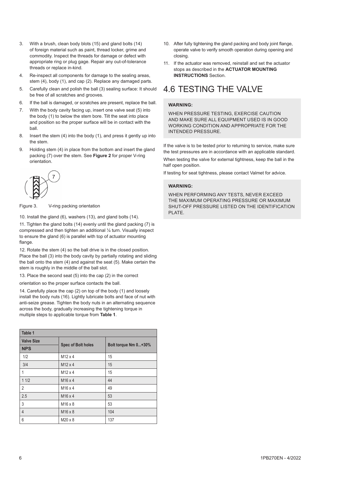- <span id="page-5-0"></span>3. With a brush, clean body blots (15) and gland bolts (14) of foreign material such as paint, thread locker, grime and commodity. Inspect the threads for damage or defect with appropriate ring or plug gage. Repair any out-of-tolerance threads or replace in-kind.
- 4. Re-inspect all components for damage to the sealing areas, stem (4), body (1), and cap (2). Replace any damaged parts.
- 5. Carefully clean and polish the ball (3) sealing surface: It should be free of all scratches and grooves.
- 6. If the ball is damaged, or scratches are present, replace the ball.
- 7. With the body cavity facing up, insert one valve seat (5) into the body (1) to below the stem bore. Tilt the seat into place and position so the proper surface will be in contact with the ball.
- 8. Insert the stem (4) into the body (1), and press it gently up into the stem.
- 9. Holding stem (4) in place from the bottom and insert the gland packing (7) over the stem. See **Figure 2** for proper V-ring orientation.



Figure 3. V-ring packing orientation

10. Install the gland (6), washers (13), and gland bolts (14).

11. Tighten the gland bolts (14) evenly until the gland packing (7) is compressed and then tighten an additional ¼ turn. Visually inspect to ensure the gland (6) is parallel with top of actuator mounting flange

12. Rotate the stem (4) so the ball drive is in the closed position. Place the ball (3) into the body cavity by partially rotating and sliding the ball onto the stem (4) and against the seat (5). Make certain the stem is roughly in the middle of the ball slot.

13. Place the second seat (5) into the cap (2) in the correct

orientation so the proper surface contacts the ball.

14. Carefully place the cap (2) on top of the body (1) and loosely install the body nuts (16). Lightly lubricate bolts and face of nut with anti-seize grease. Tighten the body nuts in an alternating sequence across the body, gradually increasing the tightening torque in multiple steps to applicable torque from **Table 1**.

| Table 1           |                           |                      |  |  |  |
|-------------------|---------------------------|----------------------|--|--|--|
| <b>Valve Size</b> |                           |                      |  |  |  |
| <b>NPS</b>        | <b>Spec of Bolt holes</b> | Bolt torque Nm 0+30% |  |  |  |
| 1/2               | $M12 \times 4$            | 15                   |  |  |  |
| 3/4               | M <sub>12</sub> x 4       | 15                   |  |  |  |
| 1                 | $M12 \times 4$            | 15                   |  |  |  |
| 11/2              | M <sub>16</sub> x 4       | 44                   |  |  |  |
| $\overline{2}$    | M <sub>16</sub> x 4       | 49                   |  |  |  |
| 2.5               | M <sub>16</sub> x 4       | 53                   |  |  |  |
| 3                 | M <sub>16</sub> x 8       | 53                   |  |  |  |
| $\overline{4}$    | M <sub>16</sub> x 8       | 104                  |  |  |  |
| 6                 | M20 x 8                   | 137                  |  |  |  |

- 10. After fully tightening the gland packing and body joint flange, operate valve to verify smooth operation during opening and closing.
- 11. If the actuator was removed, reinstall and set the actuator stops as described in the **ACTUATOR MOUNTING INSTRUCTIONS** Section.

### 4.6 TESTING THE VALVE

#### **WARNING:**

WHEN PRESSURE TESTING, EXERCISE CAUTION AND MAKE SURE ALL EQUIPMENT USED IS IN GOOD WORKING CONDITION AND APPROPRIATE FOR THE INTENDED PRESSURE.

If the valve is to be tested prior to returning to service, make sure the test pressures are in accordance with an applicable standard. When testing the valve for external tightness, keep the ball in the half open position.

If testing for seat tightness, please contact Valmet for advice.

#### **WARNING:**

WHEN PERFORMING ANY TESTS, NEVER EXCEED THE MAXIMUM OPERATING PRESSURE OR MAXIMUM SHUT-OFF PRESSURE LISTED ON THE IDENTIFICATION PLATE.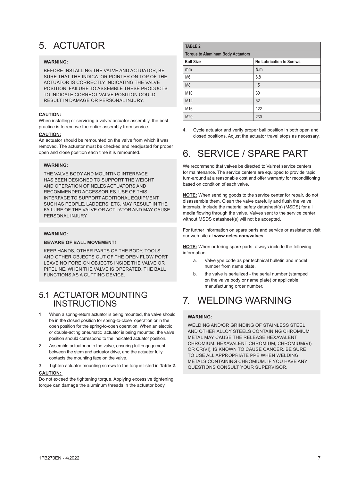# <span id="page-6-0"></span>5. ACTUATOR

### **WARNING:**

BEFORE INSTALLING THE VALVE AND ACTUATOR, BE SURE THAT THE INDICATOR POINTER ON TOP OF THE ACTUATOR IS CORRECTLY INDICATING THE VALVE POSITION. FAILURE TO ASSEMBLE THESE PRODUCTS TO INDICATE CORRECT VALVE POSITION COULD RESULT IN DAMAGE OR PERSONAL INJURY.

#### **CAUTION:**

When installing or servicing a valve/ actuator assembly, the best practice is to remove the entire assembly from service.

#### **CAUTION:**

An actuator should be remounted on the valve from which it was removed. The actuator must be checked and readjusted for proper open and close position each time it is remounted.

### **WARNING:**

THE VALVE BODY AND MOUNTING INTERFACE HAS BEEN DESIGNED TO SUPPORT THE WEIGHT AND OPERATION OF NELES ACTUATORS AND RECOMMENDED ACCESSORIES. USE OF THIS INTERFACE TO SUPPORT ADDITIONAL EQUIPMENT SUCH AS PEOPLE, LADDERS, ETC. MAY RESULT IN THE FAILURE OF THE VALVE OR ACTUATOR AND MAY CAUSE PERSONAL INJURY

#### **WARNING:**

#### **BEWARE OF BALL MOVEMENT!**

KEEP HANDS, OTHER PARTS OF THE BODY, TOOLS AND OTHER OBJECTS OUT OF THE OPEN FLOW PORT. LEAVE NO FOREIGN OBJECTS INSIDE THE VALVE OR PIPELINE. WHEN THE VALVE IS OPERATED, THE BALL FUNCTIONS AS A CUTTING DEVICE.

### 5.1 ACTUATOR MOUNTING INSTRUCTIONS

- 1. When a spring-return actuator is being mounted, the valve should be in the closed position for spring-to-close operation or in the open position for the spring-to-open operation. When an electric or double-acting pneumatic actuator is being mounted, the valve position should correspond to the indicated actuator position.
- 2. Assemble actuator onto the valve, ensuring full engagement between the stem and actuator drive, and the actuator fully contacts the mounting face on the valve.
- 3. Tighten actuator mounting screws to the torque listed in **Table 2**.

### **CAUTION:**

Do not exceed the tightening torque. Applying excessive tightening torque can damage the aluminum threads in the actuator body.

| <b>TABLE 2</b>                           |                                 |  |  |  |
|------------------------------------------|---------------------------------|--|--|--|
| <b>Torque to Aluminum Body Actuators</b> |                                 |  |  |  |
| <b>Bolt Size</b>                         | <b>No Lubrication to Screws</b> |  |  |  |
| mm                                       | N.m                             |  |  |  |
| M <sub>6</sub>                           | 6.8                             |  |  |  |
| M <sub>8</sub>                           | 15                              |  |  |  |
| M10                                      | 30                              |  |  |  |
| M <sub>12</sub>                          | 52                              |  |  |  |
| M16                                      | 122                             |  |  |  |
| M20                                      | 230                             |  |  |  |

4. Cycle actuator and verify proper ball position in both open and closed positions. Adjust the actuator travel stops as necessary.

# 6. SERVICE / SPARE PART

We recommend that valves be directed to Valmet service centers for maintenance. The service centers are equipped to provide rapid turn-around at a reasonable cost and offer warranty for reconditioning based on condition of each valve.

**NOTE:** When sending goods to the service center for repair, do not disassemble them. Clean the valve carefully and flush the valve internals. Include the material safety datasheet(s) (MSDS) for all media flowing through the valve. Valves sent to the service center without MSDS datasheet(s) will not be accepted.

For further information on spare parts and service or assistance visit our web-site at **www.neles.com/valves**.

**NOTE:** When ordering spare parts, always include the following information:

- a. Valve ype code as per technical bulletin and model number from name plate,
- b. the valve is serialized the serial number (stamped on the valve body or name plate) or applicable manufacturing order number.

# 7. WELDING WARNING

### **WARNING:**

WELDING AND/OR GRINDING OF STAINLESS STEEL AND OTHER ALLOY STEELS CONTAINING CHROMIUM METAL MAY CAUSE THE RELEASE HEXAVALENT CHROMIUM. HEXAVALENT CHROMIUM, CHROMIUM(VI) OR CR(VI), IS KNOWN TO CAUSE CANCER. BE SURE TO USE ALL APPROPRIATE PPE WHEN WELDING METALS CONTAINING CHROMIUM. IF YOU HAVE ANY QUESTIONS CONSULT YOUR SUPERVISOR.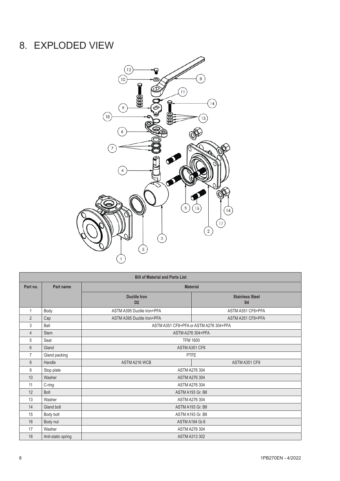# <span id="page-7-0"></span>8. EXPLODED VIEW



| <b>Bill of Material and Parts List</b> |                    |                                       |                                        |  |  |  |  |  |
|----------------------------------------|--------------------|---------------------------------------|----------------------------------------|--|--|--|--|--|
| Part no.                               | Part name          | <b>Material</b>                       |                                        |  |  |  |  |  |
|                                        |                    | <b>Ductile Iron</b><br>D <sub>2</sub> | <b>Stainless Steel</b><br><b>S4</b>    |  |  |  |  |  |
| 1                                      | Body               | ASTM A395 Ductile Iron+PFA            | ASTM A351 CF8+PFA                      |  |  |  |  |  |
| $\overline{2}$                         | Cap                | ASTM A395 Ductile Iron+PFA            | ASTM A351 CF8+PFA                      |  |  |  |  |  |
| 3                                      | Ball               |                                       | ASTM A351 CF8+PFA or ASTM A276 304+PFA |  |  |  |  |  |
| $\overline{4}$                         | <b>Stem</b>        |                                       | ASTM A276 304+PFA                      |  |  |  |  |  |
| 5                                      | Seat               |                                       | <b>TFM 1600</b>                        |  |  |  |  |  |
| 6                                      | Gland              | ASTM A351 CF8                         |                                        |  |  |  |  |  |
| $\overline{7}$                         | Gland packing      | PTFE                                  |                                        |  |  |  |  |  |
| 8                                      | Handle             | ASTM A216 WCB                         | ASTM A351 CF8                          |  |  |  |  |  |
| 9                                      | Stop plate         | <b>ASTM A276 304</b>                  |                                        |  |  |  |  |  |
| 10                                     | Washer             | <b>ASTM A276 304</b>                  |                                        |  |  |  |  |  |
| 11                                     | $C$ -ring          | <b>ASTM A276 304</b>                  |                                        |  |  |  |  |  |
| 12                                     | Bolt               | ASTM A193 Gr. B8                      |                                        |  |  |  |  |  |
| 13                                     | Washer             | <b>ASTM A276 304</b>                  |                                        |  |  |  |  |  |
| 14                                     | Gland bolt         | ASTM A193 Gr. B8                      |                                        |  |  |  |  |  |
| 15                                     | Body bolt          | ASTM A193 Gr. B8                      |                                        |  |  |  |  |  |
| 16                                     | Body nut           | ASTM A194 Gr.8                        |                                        |  |  |  |  |  |
| 17                                     | Washer             | <b>ASTM A276 304</b>                  |                                        |  |  |  |  |  |
| 18                                     | Anti-static spring | <b>ASTM A313 302</b>                  |                                        |  |  |  |  |  |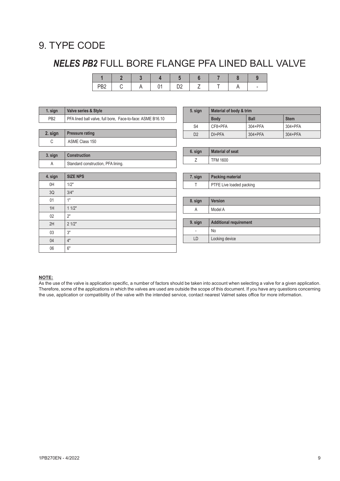### <span id="page-8-0"></span>9. TYPE CODE

# *NELES PB2* FULL BORE FLANGE PFA LINED BALL VALVE

| 1. sign         | Valve series & Style                                       | 5. sign                  | Material of body & trim       |             |             |  |
|-----------------|------------------------------------------------------------|--------------------------|-------------------------------|-------------|-------------|--|
| PB <sub>2</sub> | PFA lined ball valve, full bore, Face-to-face: ASME B16.10 |                          | <b>Body</b>                   | <b>Ball</b> | <b>Stem</b> |  |
|                 |                                                            | S <sub>4</sub>           | CF8+PFA                       | 304+PFA     | 304+PFA     |  |
| 2. sign         | <b>Pressure rating</b>                                     | D <sub>2</sub>           | DI+PFA                        | 304+PFA     | 304+PFA     |  |
| C               | ASME Class 150                                             |                          |                               |             |             |  |
|                 |                                                            | 6. sign                  | <b>Material of seat</b>       |             |             |  |
| 3. sign         | Construction                                               | Ζ                        | <b>TFM 1600</b>               |             |             |  |
| Α               | Standard construction, PFA lining.                         |                          |                               |             |             |  |
|                 |                                                            |                          |                               |             |             |  |
| 4. sign         | <b>SIZE NPS</b>                                            | 7. sign                  | <b>Packing material</b>       |             |             |  |
| 0H              | 1/2"                                                       | T                        | PTFE Live loaded packing      |             |             |  |
| 3Q              | 3/4"                                                       |                          |                               |             |             |  |
| 01              | 1"                                                         | 8. sign                  | Version                       |             |             |  |
| 1H              | 11/2"                                                      | A                        | Model A                       |             |             |  |
| 02              | 2"                                                         |                          |                               |             |             |  |
| 2H              | 21/2"                                                      | 9. sign                  | <b>Additional requirement</b> |             |             |  |
| 03              | 3"                                                         | $\overline{\phantom{a}}$ | No                            |             |             |  |
| 04              | 4"                                                         | LD                       | Locking device                |             |             |  |
| 06              | 6"                                                         |                          |                               |             |             |  |

### **NOTE:**

As the use of the valve is application specific, a number of factors should be taken into account when selecting a valve for a given application. Therefore, some of the applications in which the valves are used are outside the scope of this document. If you have any questions concerning the use, application or compatibility of the valve with the intended service, contact nearest Valmet sales office for more information.